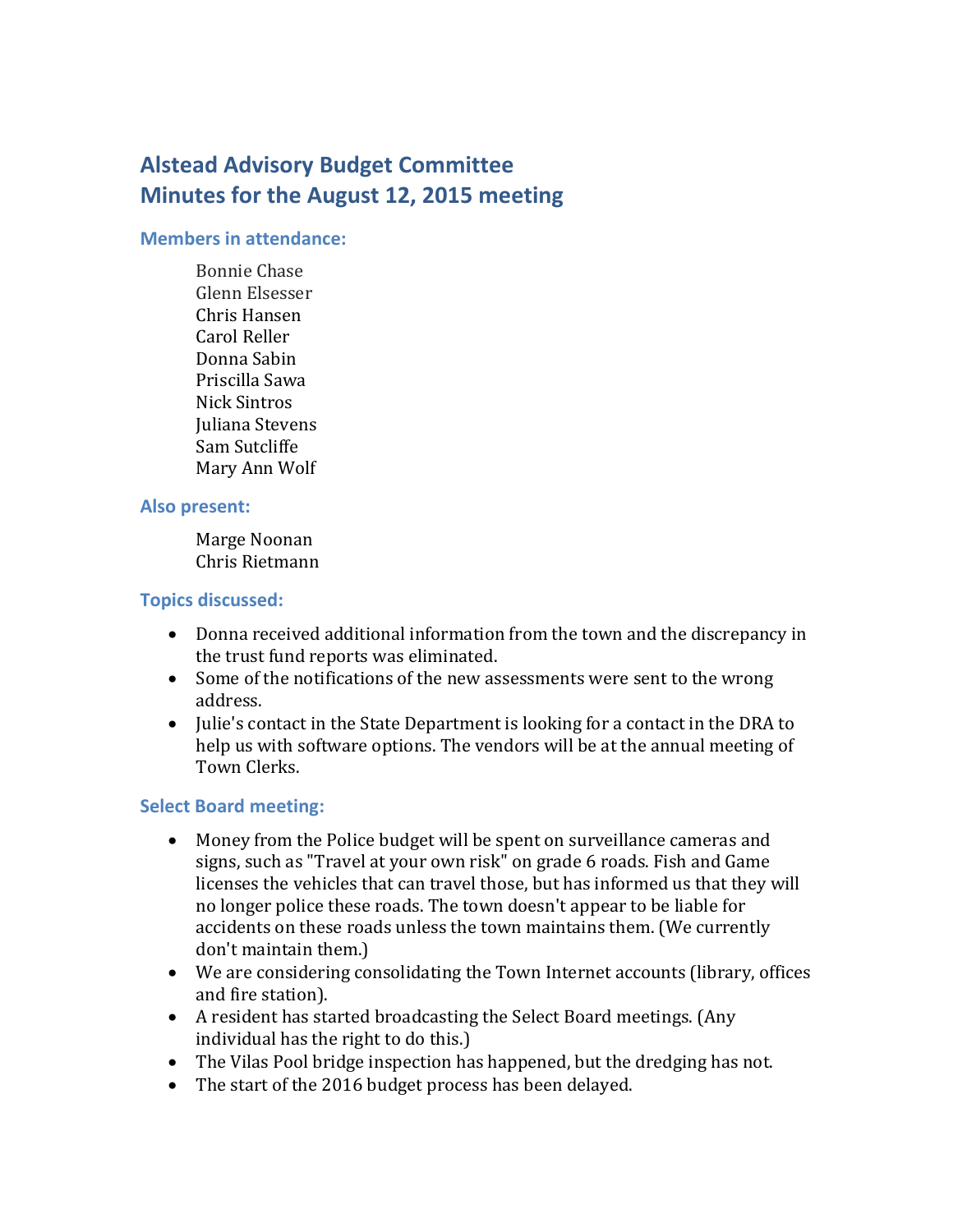# **Alstead Advisory Budget Committee Minutes for the August 12, 2015 meeting**

#### **Members in attendance:**

Bonnie Chase Glenn Elsesser Chris Hansen Carol Reller Donna Sabin Priscilla Sawa Nick Sintros Juliana Stevens Sam Sutcliffe Mary Ann Wolf

### **Also present:**

Marge Noonan Chris Rietmann

## **Topics discussed:**

- Donna received additional information from the town and the discrepancy in the trust fund reports was eliminated.
- Some of the notifications of the new assessments were sent to the wrong address.
- Julie's contact in the State Department is looking for a contact in the DRA to help us with software options. The vendors will be at the annual meeting of Town Clerks.

## **Select Board meeting:**

- Money from the Police budget will be spent on surveillance cameras and signs, such as "Travel at your own risk" on grade 6 roads. Fish and Game licenses the vehicles that can travel those, but has informed us that they will no longer police these roads. The town doesn't appear to be liable for accidents on these roads unless the town maintains them. (We currently don't maintain them.)
- We are considering consolidating the Town Internet accounts (library, offices and fire station).
- A resident has started broadcasting the Select Board meetings. (Any individual has the right to do this.)
- The Vilas Pool bridge inspection has happened, but the dredging has not.
- The start of the 2016 budget process has been delayed.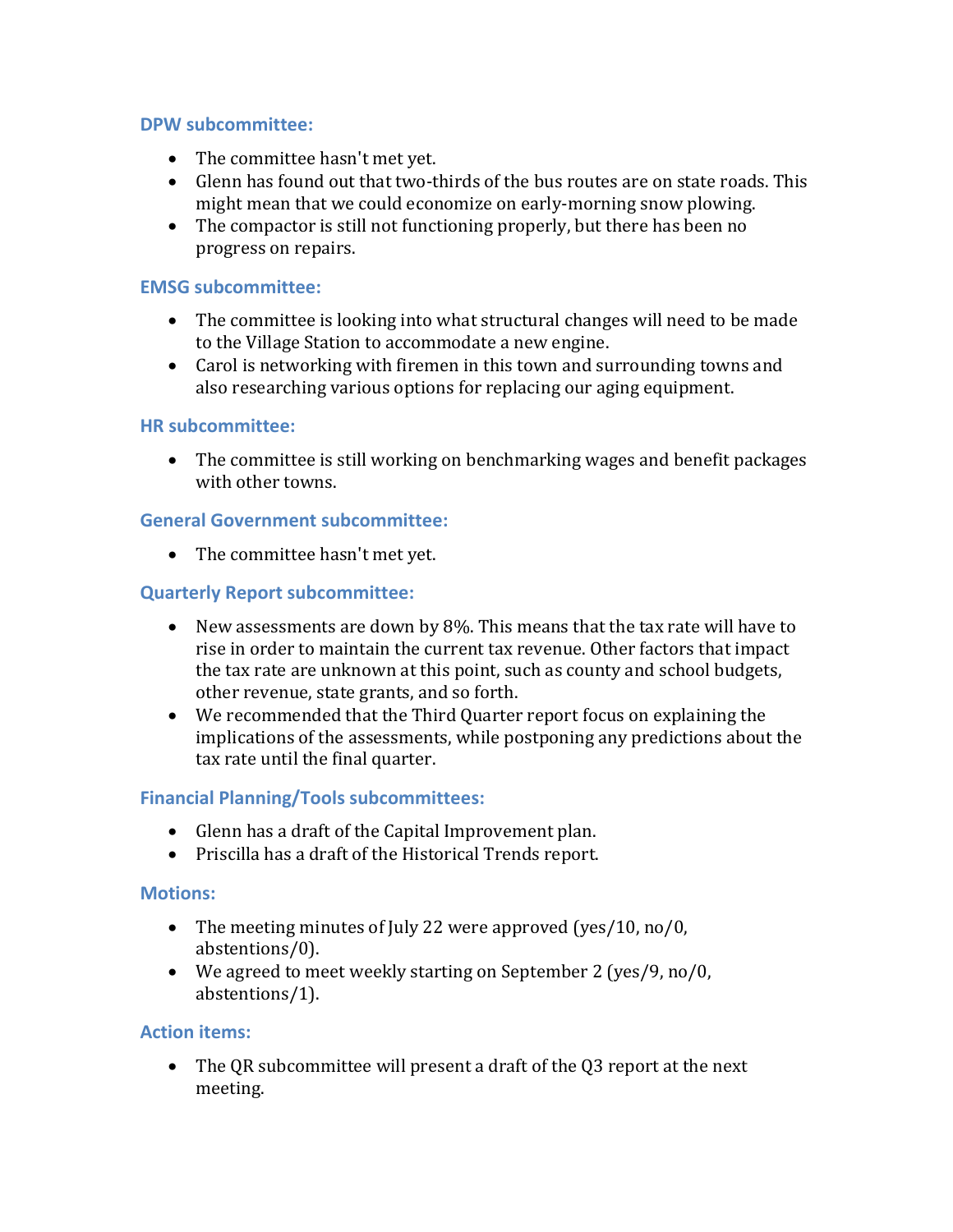## **DPW subcommittee:**

- The committee hasn't met yet.
- Glenn has found out that two-thirds of the bus routes are on state roads. This might mean that we could economize on early-morning snow plowing.
- The compactor is still not functioning properly, but there has been no progress on repairs.

## **EMSG subcommittee:**

- The committee is looking into what structural changes will need to be made to the Village Station to accommodate a new engine.
- Carol is networking with firemen in this town and surrounding towns and also researching various options for replacing our aging equipment.

### **HR subcommittee:**

 The committee is still working on benchmarking wages and benefit packages with other towns.

### **General Government subcommittee:**

• The committee hasn't met yet.

### **Quarterly Report subcommittee:**

- New assessments are down by 8%. This means that the tax rate will have to rise in order to maintain the current tax revenue. Other factors that impact the tax rate are unknown at this point, such as county and school budgets, other revenue, state grants, and so forth.
- We recommended that the Third Quarter report focus on explaining the implications of the assessments, while postponing any predictions about the tax rate until the final quarter.

## **Financial Planning/Tools subcommittees:**

- Glenn has a draft of the Capital Improvement plan.
- Priscilla has a draft of the Historical Trends report.

#### **Motions:**

- The meeting minutes of July 22 were approved (yes/10, no/0, abstentions/0).
- We agreed to meet weekly starting on September 2 (yes/9, no/0, abstentions/1).

## **Action items:**

• The QR subcommittee will present a draft of the Q3 report at the next meeting.